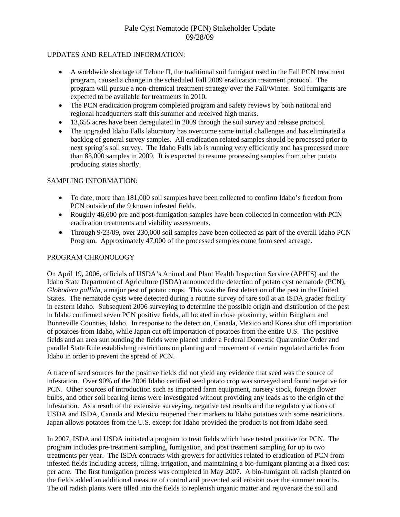# Pale Cyst Nematode (PCN) Stakeholder Update 09/28/09

### UPDATES AND RELATED INFORMATION:

- A worldwide shortage of Telone II, the traditional soil fumigant used in the Fall PCN treatment program, caused a change in the scheduled Fall 2009 eradication treatment protocol. The program will pursue a non-chemical treatment strategy over the Fall/Winter. Soil fumigants are expected to be available for treatments in 2010.
- The PCN eradication program completed program and safety reviews by both national and regional headquarters staff this summer and received high marks.
- 13,655 acres have been deregulated in 2009 through the soil survey and release protocol.
- The upgraded Idaho Falls laboratory has overcome some initial challenges and has eliminated a backlog of general survey samples. All eradication related samples should be processed prior to next spring's soil survey. The Idaho Falls lab is running very efficiently and has processed more than 83,000 samples in 2009. It is expected to resume processing samples from other potato producing states shortly.

### SAMPLING INFORMATION:

- To date, more than 181,000 soil samples have been collected to confirm Idaho's freedom from PCN outside of the 9 known infested fields.
- Roughly 46,600 pre and post-fumigation samples have been collected in connection with PCN eradication treatments and viability assessments.
- Through 9/23/09, over 230,000 soil samples have been collected as part of the overall Idaho PCN Program. Approximately 47,000 of the processed samples come from seed acreage.

#### PROGRAM CHRONOLOGY

On April 19, 2006, officials of USDA's Animal and Plant Health Inspection Service (APHIS) and the Idaho State Department of Agriculture (ISDA) announced the detection of potato cyst nematode (PCN), *Globodera pallida*, a major pest of potato crops. This was the first detection of the pest in the United States. The nematode cysts were detected during a routine survey of tare soil at an ISDA grader facility in eastern Idaho. Subsequent 2006 surveying to determine the possible origin and distribution of the pest in Idaho confirmed seven PCN positive fields, all located in close proximity, within Bingham and Bonneville Counties, Idaho. In response to the detection, Canada, Mexico and Korea shut off importation of potatoes from Idaho, while Japan cut off importation of potatoes from the entire U.S. The positive fields and an area surrounding the fields were placed under a Federal Domestic Quarantine Order and parallel State Rule establishing restrictions on planting and movement of certain regulated articles from Idaho in order to prevent the spread of PCN.

A trace of seed sources for the positive fields did not yield any evidence that seed was the source of infestation. Over 90% of the 2006 Idaho certified seed potato crop was surveyed and found negative for PCN. Other sources of introduction such as imported farm equipment, nursery stock, foreign flower bulbs, and other soil bearing items were investigated without providing any leads as to the origin of the infestation. As a result of the extensive surveying, negative test results and the regulatory actions of USDA and ISDA, Canada and Mexico reopened their markets to Idaho potatoes with some restrictions. Japan allows potatoes from the U.S. except for Idaho provided the product is not from Idaho seed.

In 2007, ISDA and USDA initiated a program to treat fields which have tested positive for PCN. The program includes pre-treatment sampling, fumigation, and post treatment sampling for up to two treatments per year. The ISDA contracts with growers for activities related to eradication of PCN from infested fields including access, tilling, irrigation, and maintaining a bio-fumigant planting at a fixed cost per acre. The first fumigation process was completed in May 2007. A bio-fumigant oil radish planted on the fields added an additional measure of control and prevented soil erosion over the summer months. The oil radish plants were tilled into the fields to replenish organic matter and rejuvenate the soil and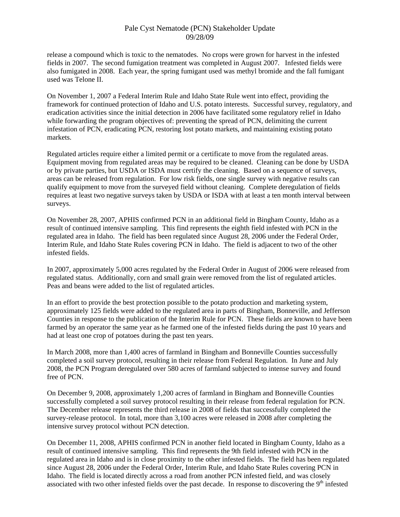## Pale Cyst Nematode (PCN) Stakeholder Update 09/28/09

release a compound which is toxic to the nematodes. No crops were grown for harvest in the infested fields in 2007. The second fumigation treatment was completed in August 2007. Infested fields were also fumigated in 2008. Each year, the spring fumigant used was methyl bromide and the fall fumigant used was Telone II.

On November 1, 2007 a Federal Interim Rule and Idaho State Rule went into effect, providing the framework for continued protection of Idaho and U.S. potato interests. Successful survey, regulatory, and eradication activities since the initial detection in 2006 have facilitated some regulatory relief in Idaho while forwarding the program objectives of: preventing the spread of PCN, delimiting the current infestation of PCN, eradicating PCN, restoring lost potato markets, and maintaining existing potato markets.

Regulated articles require either a limited permit or a certificate to move from the regulated areas. Equipment moving from regulated areas may be required to be cleaned. Cleaning can be done by USDA or by private parties, but USDA or ISDA must certify the cleaning. Based on a sequence of surveys, areas can be released from regulation. For low risk fields, one single survey with negative results can qualify equipment to move from the surveyed field without cleaning. Complete deregulation of fields requires at least two negative surveys taken by USDA or ISDA with at least a ten month interval between surveys.

On November 28, 2007, APHIS confirmed PCN in an additional field in Bingham County, Idaho as a result of continued intensive sampling. This find represents the eighth field infested with PCN in the regulated area in Idaho. The field has been regulated since August 28, 2006 under the Federal Order, Interim Rule, and Idaho State Rules covering PCN in Idaho. The field is adjacent to two of the other infested fields.

In 2007, approximately 5,000 acres regulated by the Federal Order in August of 2006 were released from regulated status. Additionally, corn and small grain were removed from the list of regulated articles. Peas and beans were added to the list of regulated articles.

In an effort to provide the best protection possible to the potato production and marketing system, approximately 125 fields were added to the regulated area in parts of Bingham, Bonneville, and Jefferson Counties in response to the publication of the Interim Rule for PCN. These fields are known to have been farmed by an operator the same year as he farmed one of the infested fields during the past 10 years and had at least one crop of potatoes during the past ten years.

In March 2008, more than 1,400 acres of farmland in Bingham and Bonneville Counties successfully completed a soil survey protocol, resulting in their release from Federal Regulation. In June and July 2008, the PCN Program deregulated over 580 acres of farmland subjected to intense survey and found free of PCN.

On December 9, 2008, approximately 1,200 acres of farmland in Bingham and Bonneville Counties successfully completed a soil survey protocol resulting in their release from federal regulation for PCN. The December release represents the third release in 2008 of fields that successfully completed the survey-release protocol. In total, more than 3,100 acres were released in 2008 after completing the intensive survey protocol without PCN detection.

On December 11, 2008, APHIS confirmed PCN in another field located in Bingham County, Idaho as a result of continued intensive sampling. This find represents the 9th field infested with PCN in the regulated area in Idaho and is in close proximity to the other infested fields. The field has been regulated since August 28, 2006 under the Federal Order, Interim Rule, and Idaho State Rules covering PCN in Idaho. The field is located directly across a road from another PCN infested field, and was closely associated with two other infested fields over the past decade. In response to discovering the 9<sup>th</sup> infested